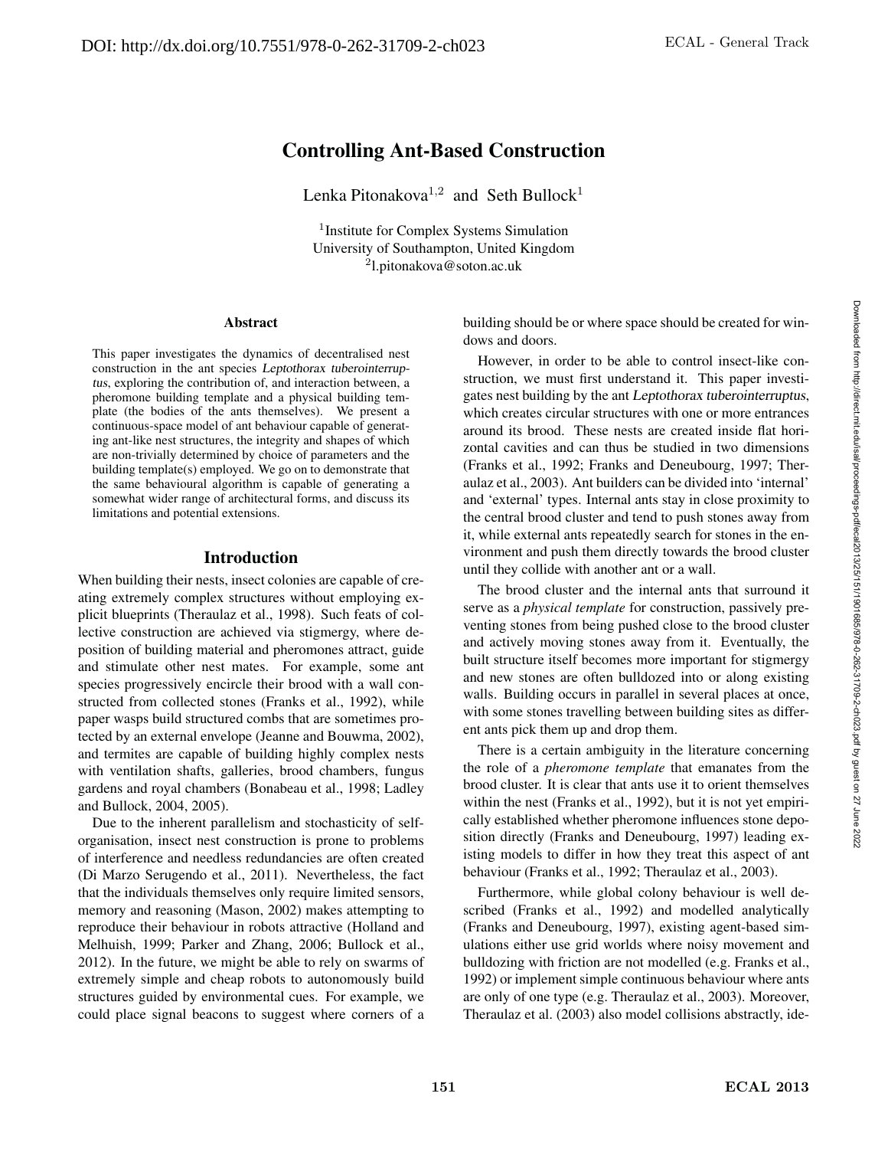# Controlling Ant-Based Construction

Lenka Pitonakova<sup>1,2</sup> and Seth Bullock<sup>1</sup>

<sup>1</sup>Institute for Complex Systems Simulation University of Southampton, United Kingdom <sup>2</sup>l.pitonakova@soton.ac.uk

#### Abstract

This paper investigates the dynamics of decentralised nest construction in the ant species *Leptothorax tuberointerruptus*, exploring the contribution of, and interaction between, a pheromone building template and a physical building template (the bodies of the ants themselves). We present a continuous-space model of ant behaviour capable of generating ant-like nest structures, the integrity and shapes of which are non-trivially determined by choice of parameters and the building template(s) employed. We go on to demonstrate that the same behavioural algorithm is capable of generating a somewhat wider range of architectural forms, and discuss its limitations and potential extensions.

# Introduction

When building their nests, insect colonies are capable of creating extremely complex structures without employing explicit blueprints (Theraulaz et al., 1998). Such feats of collective construction are achieved via stigmergy, where deposition of building material and pheromones attract, guide and stimulate other nest mates. For example, some ant species progressively encircle their brood with a wall constructed from collected stones (Franks et al., 1992), while paper wasps build structured combs that are sometimes protected by an external envelope (Jeanne and Bouwma, 2002), and termites are capable of building highly complex nests with ventilation shafts, galleries, brood chambers, fungus gardens and royal chambers (Bonabeau et al., 1998; Ladley and Bullock, 2004, 2005).

Due to the inherent parallelism and stochasticity of selforganisation, insect nest construction is prone to problems of interference and needless redundancies are often created (Di Marzo Serugendo et al., 2011). Nevertheless, the fact that the individuals themselves only require limited sensors, memory and reasoning (Mason, 2002) makes attempting to reproduce their behaviour in robots attractive (Holland and Melhuish, 1999; Parker and Zhang, 2006; Bullock et al., 2012). In the future, we might be able to rely on swarms of extremely simple and cheap robots to autonomously build structures guided by environmental cues. For example, we could place signal beacons to suggest where corners of a

building should be or where space should be created for windows and doors.

However, in order to be able to control insect-like construction, we must first understand it. This paper investigates nest building by the ant *Leptothorax tuberointerruptus*, which creates circular structures with one or more entrances around its brood. These nests are created inside flat horizontal cavities and can thus be studied in two dimensions (Franks et al., 1992; Franks and Deneubourg, 1997; Theraulaz et al., 2003). Ant builders can be divided into 'internal' and 'external' types. Internal ants stay in close proximity to the central brood cluster and tend to push stones away from it, while external ants repeatedly search for stones in the environment and push them directly towards the brood cluster until they collide with another ant or a wall.

The brood cluster and the internal ants that surround it serve as a *physical template* for construction, passively preventing stones from being pushed close to the brood cluster and actively moving stones away from it. Eventually, the built structure itself becomes more important for stigmergy and new stones are often bulldozed into or along existing walls. Building occurs in parallel in several places at once, with some stones travelling between building sites as different ants pick them up and drop them.

There is a certain ambiguity in the literature concerning the role of a *pheromone template* that emanates from the brood cluster. It is clear that ants use it to orient themselves within the nest (Franks et al., 1992), but it is not yet empirically established whether pheromone influences stone deposition directly (Franks and Deneubourg, 1997) leading existing models to differ in how they treat this aspect of ant behaviour (Franks et al., 1992; Theraulaz et al., 2003).

Furthermore, while global colony behaviour is well described (Franks et al., 1992) and modelled analytically (Franks and Deneubourg, 1997), existing agent-based simulations either use grid worlds where noisy movement and bulldozing with friction are not modelled (e.g. Franks et al., 1992) or implement simple continuous behaviour where ants are only of one type (e.g. Theraulaz et al., 2003). Moreover, Theraulaz et al. (2003) also model collisions abstractly, ide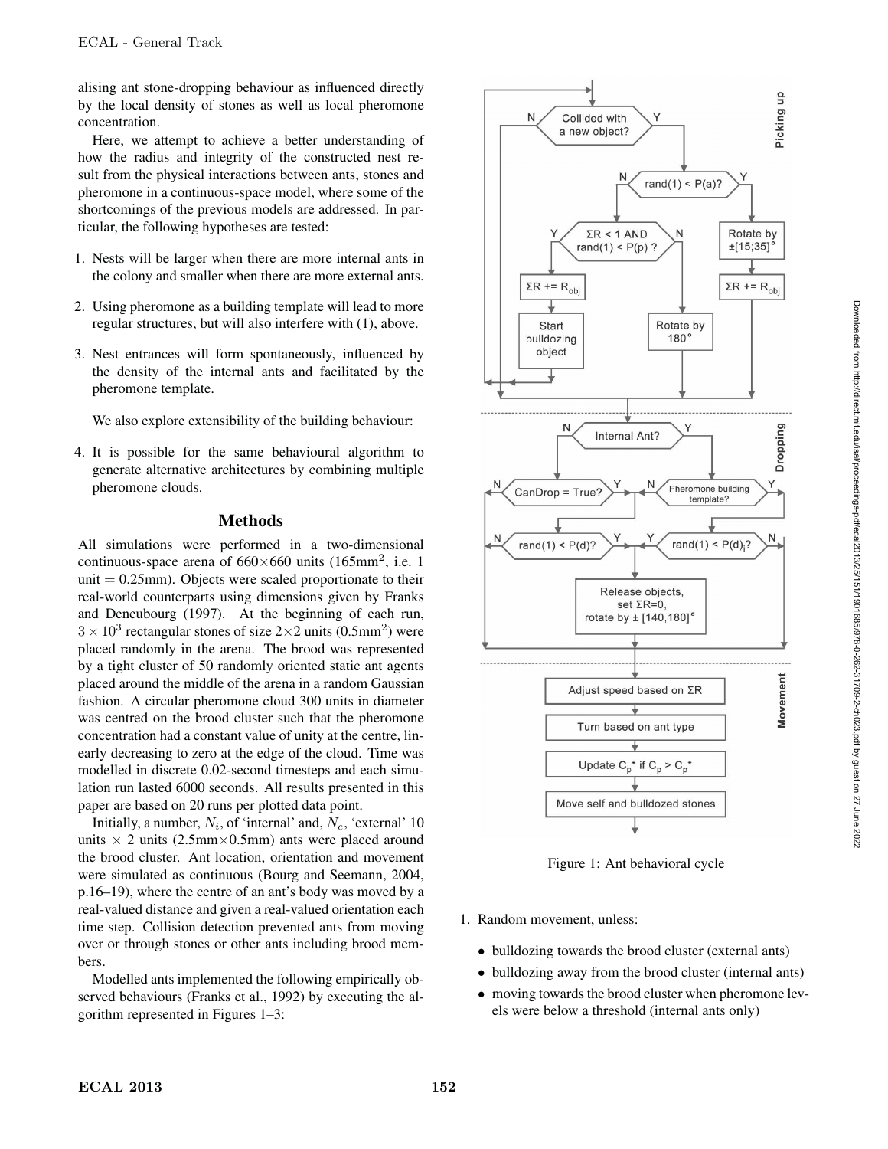alising ant stone-dropping behaviour as influenced directly by the local density of stones as well as local pheromone concentration.

Here, we attempt to achieve a better understanding of how the radius and integrity of the constructed nest result from the physical interactions between ants, stones and pheromone in a continuous-space model, where some of the shortcomings of the previous models are addressed. In particular, the following hypotheses are tested:

- 1. Nests will be larger when there are more internal ants in the colony and smaller when there are more external ants.
- 2. Using pheromone as a building template will lead to more regular structures, but will also interfere with (1), above.
- 3. Nest entrances will form spontaneously, influenced by the density of the internal ants and facilitated by the pheromone template.

We also explore extensibility of the building behaviour:

4. It is possible for the same behavioural algorithm to generate alternative architectures by combining multiple pheromone clouds.

#### Methods

All simulations were performed in a two-dimensional continuous-space arena of  $660\times660$  units (165mm<sup>2</sup>, i.e. 1 unit  $= 0.25$ mm). Objects were scaled proportionate to their real-world counterparts using dimensions given by Franks and Deneubourg (1997). At the beginning of each run,  $3 \times 10^3$  rectangular stones of size 2×2 units (0.5mm<sup>2</sup>) were placed randomly in the arena. The brood was represented by a tight cluster of 50 randomly oriented static ant agents placed around the middle of the arena in a random Gaussian fashion. A circular pheromone cloud 300 units in diameter was centred on the brood cluster such that the pheromone concentration had a constant value of unity at the centre, linearly decreasing to zero at the edge of the cloud. Time was modelled in discrete 0.02-second timesteps and each simulation run lasted 6000 seconds. All results presented in this paper are based on 20 runs per plotted data point.

Initially, a number,  $N_i$ , of 'internal' and,  $N_e$ , 'external' 10 units  $\times$  2 units (2.5mm×0.5mm) ants were placed around the brood cluster. Ant location, orientation and movement were simulated as continuous (Bourg and Seemann, 2004, p.16–19), where the centre of an ant's body was moved by a real-valued distance and given a real-valued orientation each time step. Collision detection prevented ants from moving over or through stones or other ants including brood members.

Modelled ants implemented the following empirically observed behaviours (Franks et al., 1992) by executing the algorithm represented in Figures 1–3:



Figure 1: Ant behavioral cycle

- 1. Random movement, unless:
	- bulldozing towards the brood cluster (external ants)
	- bulldozing away from the brood cluster (internal ants)
	- moving towards the brood cluster when pheromone levels were below a threshold (internal ants only)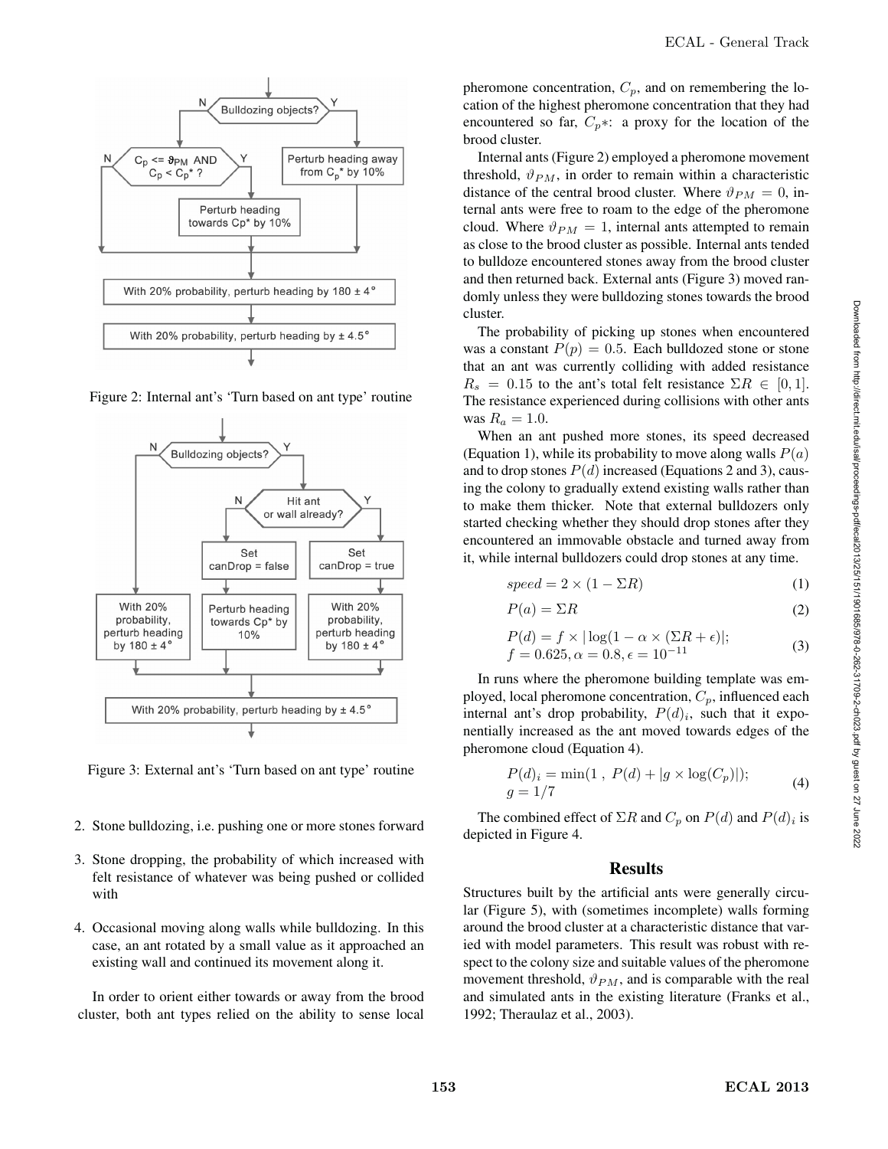

Figure 2: Internal ant's 'Turn based on ant type' routine



Figure 3: External ant's 'Turn based on ant type' routine

- 2. Stone bulldozing, i.e. pushing one or more stones forward
- 3. Stone dropping, the probability of which increased with felt resistance of whatever was being pushed or collided with
- 4. Occasional moving along walls while bulldozing. In this case, an ant rotated by a small value as it approached an existing wall and continued its movement along it.

In order to orient either towards or away from the brood cluster, both ant types relied on the ability to sense local

pheromone concentration,  $C_p$ , and on remembering the location of the highest pheromone concentration that they had encountered so far,  $C_p$ ∗: a proxy for the location of the brood cluster.

Internal ants (Figure 2) employed a pheromone movement threshold,  $\vartheta_{PM}$ , in order to remain within a characteristic distance of the central brood cluster. Where  $\vartheta_{PM} = 0$ , internal ants were free to roam to the edge of the pheromone cloud. Where  $\vartheta_{PM} = 1$ , internal ants attempted to remain as close to the brood cluster as possible. Internal ants tended to bulldoze encountered stones away from the brood cluster and then returned back. External ants (Figure 3) moved randomly unless they were bulldozing stones towards the brood cluster.

The probability of picking up stones when encountered was a constant  $P(p)=0.5$ . Each bulldozed stone or stone that an ant was currently colliding with added resistance  $R_s = 0.15$  to the ant's total felt resistance  $\Sigma R \in [0, 1]$ . The resistance experienced during collisions with other ants was  $R_a = 1.0$ .

When an ant pushed more stones, its speed decreased (Equation 1), while its probability to move along walls  $P(a)$ and to drop stones  $P(d)$  increased (Equations 2 and 3), causing the colony to gradually extend existing walls rather than to make them thicker. Note that external bulldozers only started checking whether they should drop stones after they encountered an immovable obstacle and turned away from it, while internal bulldozers could drop stones at any time.

$$
speed = 2 \times (1 - \Sigma R) \tag{1}
$$

$$
P(a) = \Sigma R \tag{2}
$$

$$
P(d) = f \times |\log(1 - \alpha \times (\Sigma R + \epsilon)|; f = 0.625, \alpha = 0.8, \epsilon = 10^{-11}
$$
 (3)

In runs where the pheromone building template was employed, local pheromone concentration,  $C_p$ , influenced each internal ant's drop probability,  $P(d)_i$ , such that it exponentially increased as the ant moved towards edges of the pheromone cloud (Equation 4).

$$
P(d)_i = \min(1, P(d) + |g \times \log(C_p)|);
$$
  
 
$$
g = 1/7
$$
 (4)

The combined effect of  $\Sigma R$  and  $C_p$  on  $P(d)$  and  $P(d)_i$  is depicted in Figure 4.

# **Results**

Structures built by the artificial ants were generally circular (Figure 5), with (sometimes incomplete) walls forming around the brood cluster at a characteristic distance that varied with model parameters. This result was robust with respect to the colony size and suitable values of the pheromone movement threshold,  $\vartheta_{PM}$ , and is comparable with the real and simulated ants in the existing literature (Franks et al., 1992; Theraulaz et al., 2003).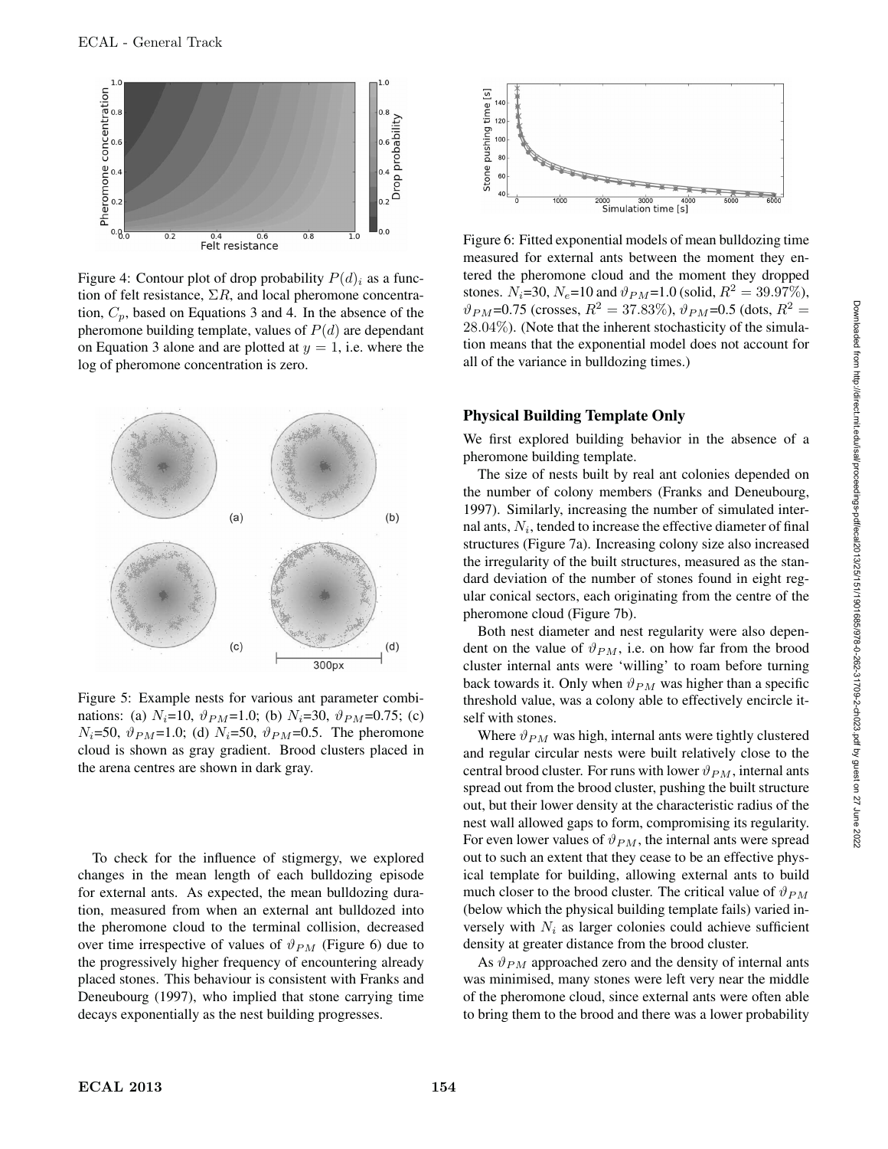

Figure 4: Contour plot of drop probability  $P(d)_i$  as a function of felt resistance,  $\Sigma R$ , and local pheromone concentration,  $C_p$ , based on Equations 3 and 4. In the absence of the pheromone building template, values of  $P(d)$  are dependant on Equation 3 alone and are plotted at  $y = 1$ , i.e. where the log of pheromone concentration is zero.



Figure 5: Example nests for various ant parameter combinations: (a)  $N_i=10$ ,  $\vartheta_{PM}=1.0$ ; (b)  $N_i=30$ ,  $\vartheta_{PM}=0.75$ ; (c)  $N_i=50, \ \vartheta_{PM}=1.0;$  (d)  $N_i=50, \ \vartheta_{PM}=0.5.$  The pheromone cloud is shown as gray gradient. Brood clusters placed in the arena centres are shown in dark gray.

To check for the influence of stigmergy, we explored changes in the mean length of each bulldozing episode for external ants. As expected, the mean bulldozing duration, measured from when an external ant bulldozed into the pheromone cloud to the terminal collision, decreased over time irrespective of values of  $\vartheta_{PM}$  (Figure 6) due to the progressively higher frequency of encountering already placed stones. This behaviour is consistent with Franks and Deneubourg (1997), who implied that stone carrying time decays exponentially as the nest building progresses.



Figure 6: Fitted exponential models of mean bulldozing time measured for external ants between the moment they entered the pheromone cloud and the moment they dropped stones.  $N_i=30$ ,  $N_e=10$  and  $\vartheta_{PM}=1.0$  (solid,  $R^2=39.97\%$ ),  $\vartheta_{PM}$ =0.75 (crosses,  $R^2 = 37.83\%$ ),  $\vartheta_{PM}$ =0.5 (dots,  $R^2 =$ 28.04%). (Note that the inherent stochasticity of the simulation means that the exponential model does not account for all of the variance in bulldozing times.)

#### Physical Building Template Only

We first explored building behavior in the absence of a pheromone building template.

The size of nests built by real ant colonies depended on the number of colony members (Franks and Deneubourg, 1997). Similarly, increasing the number of simulated internal ants,  $N_i$ , tended to increase the effective diameter of final structures (Figure 7a). Increasing colony size also increased the irregularity of the built structures, measured as the standard deviation of the number of stones found in eight regular conical sectors, each originating from the centre of the pheromone cloud (Figure 7b).

Both nest diameter and nest regularity were also dependent on the value of  $\vartheta_{PM}$ , i.e. on how far from the brood cluster internal ants were 'willing' to roam before turning back towards it. Only when  $\vartheta_{PM}$  was higher than a specific threshold value, was a colony able to effectively encircle itself with stones.

Where  $\vartheta_{PM}$  was high, internal ants were tightly clustered and regular circular nests were built relatively close to the central brood cluster. For runs with lower  $\vartheta_{PM}$ , internal ants spread out from the brood cluster, pushing the built structure out, but their lower density at the characteristic radius of the nest wall allowed gaps to form, compromising its regularity. For even lower values of  $\vartheta_{PM}$ , the internal ants were spread out to such an extent that they cease to be an effective physical template for building, allowing external ants to build much closer to the brood cluster. The critical value of  $\vartheta_{PM}$ (below which the physical building template fails) varied inversely with  $N_i$  as larger colonies could achieve sufficient density at greater distance from the brood cluster.

As  $\vartheta_{PM}$  approached zero and the density of internal ants was minimised, many stones were left very near the middle of the pheromone cloud, since external ants were often able to bring them to the brood and there was a lower probability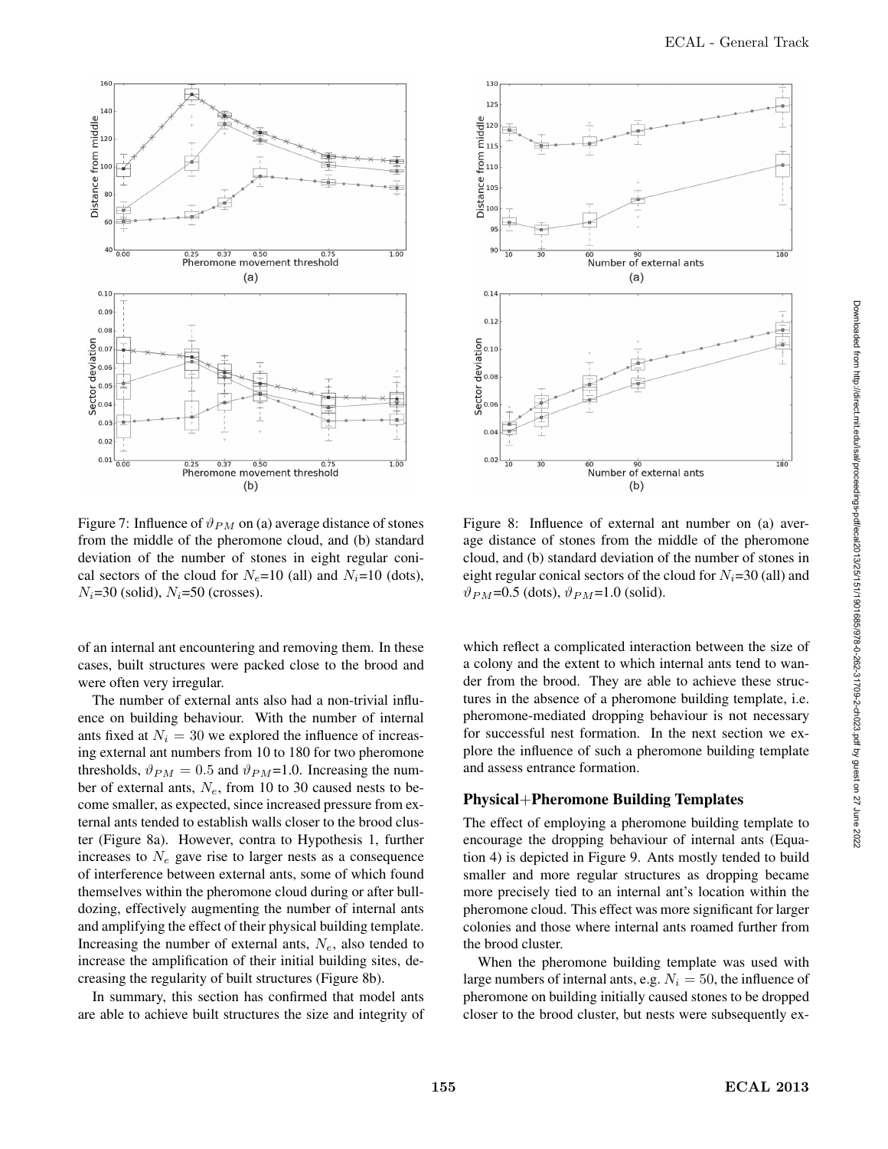

Figure 7: Influence of  $\vartheta_{PM}$  on (a) average distance of stones from the middle of the pheromone cloud, and (b) standard deviation of the number of stones in eight regular conical sectors of the cloud for  $N_e$ =10 (all) and  $N_i$ =10 (dots),  $N_i$ =30 (solid),  $N_i$ =50 (crosses).

of an internal ant encountering and removing them. In these cases, built structures were packed close to the brood and were often very irregular.

The number of external ants also had a non-trivial influence on building behaviour. With the number of internal ants fixed at  $N_i = 30$  we explored the influence of increasing external ant numbers from 10 to 180 for two pheromone thresholds,  $\vartheta_{PM} = 0.5$  and  $\vartheta_{PM} = 1.0$ . Increasing the number of external ants,  $N_e$ , from 10 to 30 caused nests to become smaller, as expected, since increased pressure from external ants tended to establish walls closer to the brood cluster (Figure 8a). However, contra to Hypothesis 1, further increases to  $N_e$  gave rise to larger nests as a consequence of interference between external ants, some of which found themselves within the pheromone cloud during or after bulldozing, effectively augmenting the number of internal ants and amplifying the effect of their physical building template. Increasing the number of external ants,  $N_e$ , also tended to increase the amplification of their initial building sites, decreasing the regularity of built structures (Figure 8b).

In summary, this section has confirmed that model ants are able to achieve built structures the size and integrity of



Figure 8: Influence of external ant number on (a) average distance of stones from the middle of the pheromone cloud, and (b) standard deviation of the number of stones in eight regular conical sectors of the cloud for  $N_i=30$  (all) and  $\vartheta_{PM}$ =0.5 (dots),  $\vartheta_{PM}$ =1.0 (solid).

which reflect a complicated interaction between the size of a colony and the extent to which internal ants tend to wander from the brood. They are able to achieve these structures in the absence of a pheromone building template, i.e. pheromone-mediated dropping behaviour is not necessary for successful nest formation. In the next section we explore the influence of such a pheromone building template and assess entrance formation.

## Physical+Pheromone Building Templates

The effect of employing a pheromone building template to encourage the dropping behaviour of internal ants (Equation 4) is depicted in Figure 9. Ants mostly tended to build smaller and more regular structures as dropping became more precisely tied to an internal ant's location within the pheromone cloud. This effect was more significant for larger colonies and those where internal ants roamed further from the brood cluster.

When the pheromone building template was used with large numbers of internal ants, e.g.  $N_i = 50$ , the influence of pheromone on building initially caused stones to be dropped closer to the brood cluster, but nests were subsequently ex-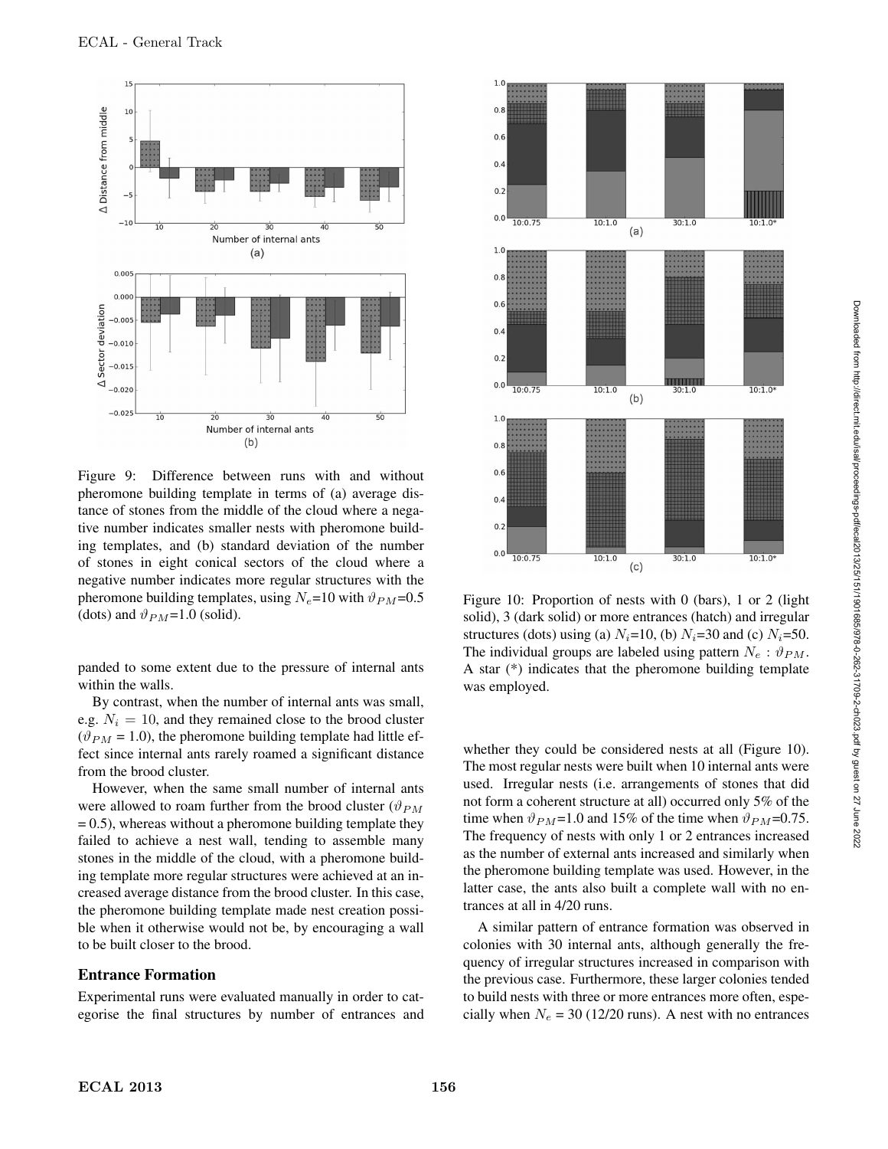

Figure 9: Difference between runs with and without pheromone building template in terms of (a) average distance of stones from the middle of the cloud where a negative number indicates smaller nests with pheromone building templates, and (b) standard deviation of the number of stones in eight conical sectors of the cloud where a negative number indicates more regular structures with the pheromone building templates, using  $N_e$ =10 with  $\vartheta_{PM}$ =0.5 (dots) and  $\vartheta_{PM}$ =1.0 (solid).

panded to some extent due to the pressure of internal ants within the walls.

By contrast, when the number of internal ants was small, e.g.  $N_i = 10$ , and they remained close to the brood cluster  $(\vartheta_{PM} = 1.0)$ , the pheromone building template had little effect since internal ants rarely roamed a significant distance from the brood cluster.

However, when the same small number of internal ants were allowed to roam further from the brood cluster ( $\vartheta_{PM}$ )  $= 0.5$ ), whereas without a pheromone building template they failed to achieve a nest wall, tending to assemble many stones in the middle of the cloud, with a pheromone building template more regular structures were achieved at an increased average distance from the brood cluster. In this case, the pheromone building template made nest creation possible when it otherwise would not be, by encouraging a wall to be built closer to the brood.

#### Entrance Formation

Experimental runs were evaluated manually in order to categorise the final structures by number of entrances and



Figure 10: Proportion of nests with 0 (bars), 1 or 2 (light solid), 3 (dark solid) or more entrances (hatch) and irregular structures (dots) using (a)  $N_i=10$ , (b)  $N_i=30$  and (c)  $N_i=50$ . The individual groups are labeled using pattern  $N_e$ :  $\vartheta_{PM}$ . A star (\*) indicates that the pheromone building template was employed.

whether they could be considered nests at all (Figure 10). The most regular nests were built when 10 internal ants were used. Irregular nests (i.e. arrangements of stones that did not form a coherent structure at all) occurred only 5% of the time when  $\vartheta_{PM}$ =1.0 and 15% of the time when  $\vartheta_{PM}$ =0.75. The frequency of nests with only 1 or 2 entrances increased as the number of external ants increased and similarly when the pheromone building template was used. However, in the latter case, the ants also built a complete wall with no entrances at all in 4/20 runs.

A similar pattern of entrance formation was observed in colonies with 30 internal ants, although generally the frequency of irregular structures increased in comparison with the previous case. Furthermore, these larger colonies tended to build nests with three or more entrances more often, especially when  $N_e = 30$  (12/20 runs). A nest with no entrances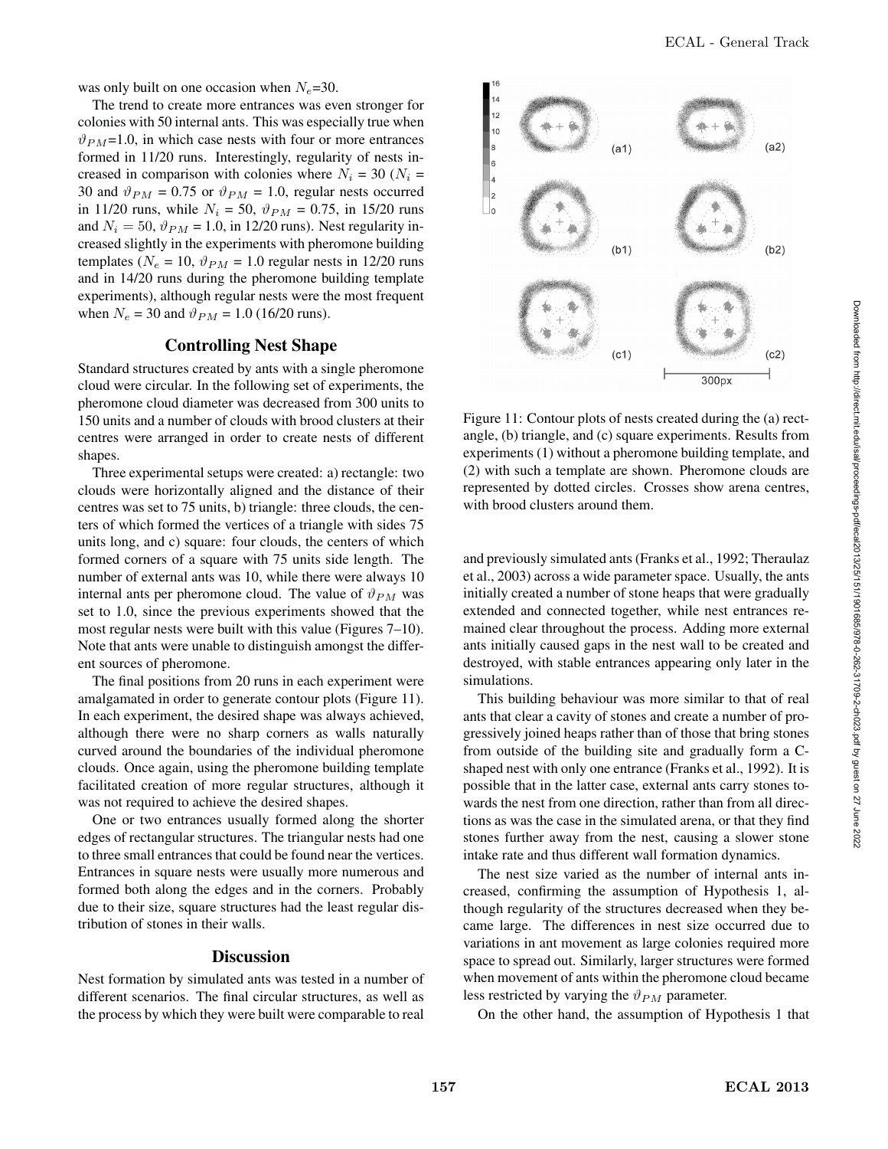was only built on one occasion when  $N_e$ =30.

The trend to create more entrances was even stronger for colonies with 50 internal ants. This was especially true when  $\vartheta_{PM}$ =1.0, in which case nests with four or more entrances formed in 11/20 runs. Interestingly, regularity of nests increased in comparison with colonies where  $N_i = 30$  ( $N_i =$ 30 and  $\vartheta_{PM} = 0.75$  or  $\vartheta_{PM} = 1.0$ , regular nests occurred in 11/20 runs, while  $N_i = 50$ ,  $\vartheta_{PM} = 0.75$ , in 15/20 runs and  $N_i = 50$ ,  $\vartheta_{PM} = 1.0$ , in 12/20 runs). Nest regularity increased slightly in the experiments with pheromone building templates ( $N_e = 10$ ,  $\vartheta_{PM} = 1.0$  regular nests in 12/20 runs and in 14/20 runs during the pheromone building template experiments), although regular nests were the most frequent when  $N_e = 30$  and  $\vartheta_{PM} = 1.0$  (16/20 runs).

## Controlling Nest Shape

Standard structures created by ants with a single pheromone cloud were circular. In the following set of experiments, the pheromone cloud diameter was decreased from 300 units to 150 units and a number of clouds with brood clusters at their centres were arranged in order to create nests of different shapes.

Three experimental setups were created: a) rectangle: two clouds were horizontally aligned and the distance of their centres was set to 75 units, b) triangle: three clouds, the centers of which formed the vertices of a triangle with sides 75 units long, and c) square: four clouds, the centers of which formed corners of a square with 75 units side length. The number of external ants was 10, while there were always 10 internal ants per pheromone cloud. The value of  $\vartheta_{PM}$  was set to 1.0, since the previous experiments showed that the most regular nests were built with this value (Figures 7–10). Note that ants were unable to distinguish amongst the different sources of pheromone.

The final positions from 20 runs in each experiment were amalgamated in order to generate contour plots (Figure 11). In each experiment, the desired shape was always achieved, although there were no sharp corners as walls naturally curved around the boundaries of the individual pheromone clouds. Once again, using the pheromone building template facilitated creation of more regular structures, although it was not required to achieve the desired shapes.

One or two entrances usually formed along the shorter edges of rectangular structures. The triangular nests had one to three small entrances that could be found near the vertices. Entrances in square nests were usually more numerous and formed both along the edges and in the corners. Probably due to their size, square structures had the least regular distribution of stones in their walls.

## **Discussion**

Nest formation by simulated ants was tested in a number of different scenarios. The final circular structures, as well as the process by which they were built were comparable to real



Figure 11: Contour plots of nests created during the (a) rectangle, (b) triangle, and (c) square experiments. Results from experiments (1) without a pheromone building template, and (2) with such a template are shown. Pheromone clouds are represented by dotted circles. Crosses show arena centres, with brood clusters around them.

and previously simulated ants (Franks et al., 1992; Theraulaz et al., 2003) across a wide parameter space. Usually, the ants initially created a number of stone heaps that were gradually extended and connected together, while nest entrances remained clear throughout the process. Adding more external ants initially caused gaps in the nest wall to be created and destroyed, with stable entrances appearing only later in the simulations.

This building behaviour was more similar to that of real ants that clear a cavity of stones and create a number of progressively joined heaps rather than of those that bring stones from outside of the building site and gradually form a Cshaped nest with only one entrance (Franks et al., 1992). It is possible that in the latter case, external ants carry stones towards the nest from one direction, rather than from all directions as was the case in the simulated arena, or that they find stones further away from the nest, causing a slower stone intake rate and thus different wall formation dynamics.

The nest size varied as the number of internal ants increased, confirming the assumption of Hypothesis 1, although regularity of the structures decreased when they became large. The differences in nest size occurred due to variations in ant movement as large colonies required more space to spread out. Similarly, larger structures were formed when movement of ants within the pheromone cloud became less restricted by varying the  $\vartheta_{PM}$  parameter.

On the other hand, the assumption of Hypothesis 1 that